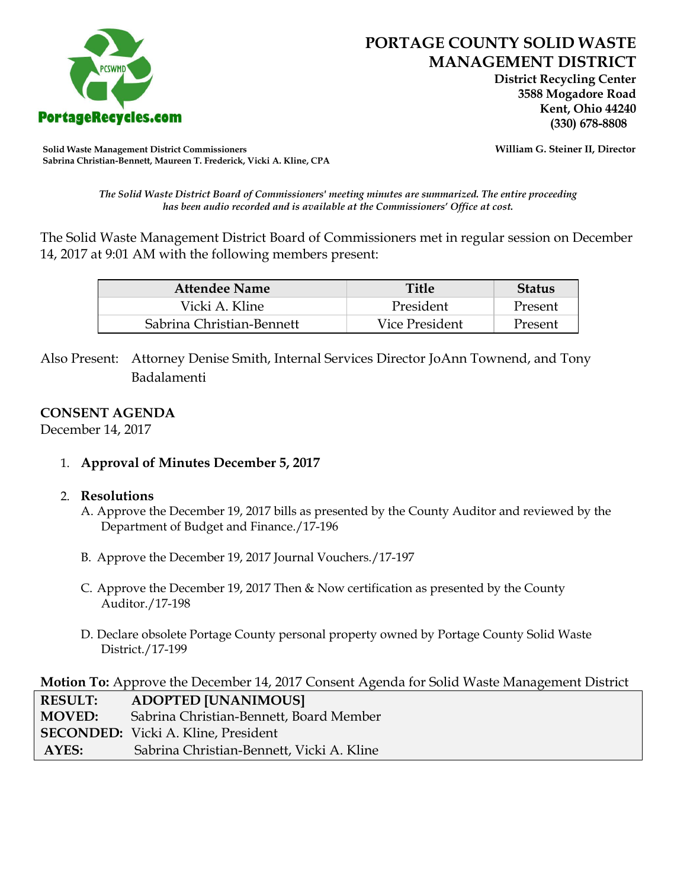

 **District Recycling Center 3588 Mogadore Road Kent, Ohio 44240**

**Solid Waste Management District Commissioners William G. Steiner II, Director Sabrina Christian-Bennett, Maureen T. Frederick, Vicki A. Kline, CPA**

*The Solid Waste District Board of Commissioners' meeting minutes are summarized. The entire proceeding has been audio recorded and is available at the Commissioners' Office at cost.*

The Solid Waste Management District Board of Commissioners met in regular session on December 14, 2017 at 9:01 AM with the following members present:

| <b>Attendee Name</b>      | Title          | <b>Status</b> |
|---------------------------|----------------|---------------|
| Vicki A. Kline            | President      | Present       |
| Sabrina Christian-Bennett | Vice President | Present       |

Also Present: Attorney Denise Smith, Internal Services Director JoAnn Townend, and Tony Badalamenti

## **CONSENT AGENDA**

December 14, 2017

1. **Approval of Minutes December 5, 2017**

## 2. **Resolutions**

- A. Approve the December 19, 2017 bills as presented by the County Auditor and reviewed by the Department of Budget and Finance./17-196
- B. Approve the December 19, 2017 Journal Vouchers./17-197
- C. Approve the December 19, 2017 Then & Now certification as presented by the County Auditor./17-198
- D. Declare obsolete Portage County personal property owned by Portage County Solid Waste District./17-199

**Motion To:** Approve the December 14, 2017 Consent Agenda for Solid Waste Management District

| <b>RESULT:</b> | <b>ADOPTED [UNANIMOUS]</b>                 |
|----------------|--------------------------------------------|
| <b>MOVED:</b>  | Sabrina Christian-Bennett, Board Member    |
|                | <b>SECONDED:</b> Vicki A. Kline, President |
| AYES:          | Sabrina Christian-Bennett, Vicki A. Kline  |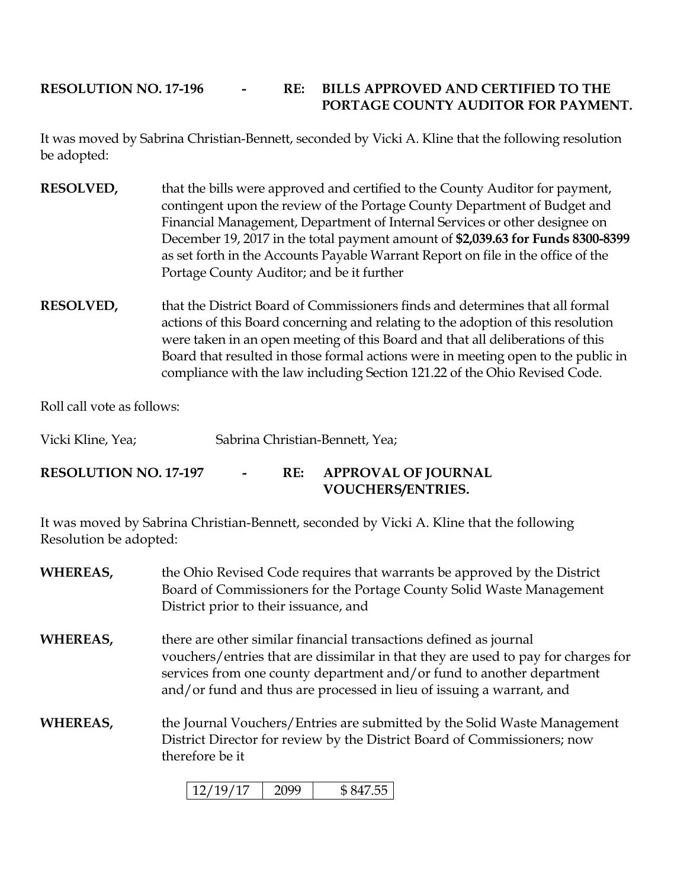# **RESOLUTION NO. 17-196 - RE: BILLS APPROVED AND CERTIFIED TO THE PORTAGE COUNTY AUDITOR FOR PAYMENT.**

It was moved by Sabrina Christian-Bennett, seconded by Vicki A. Kline that the following resolution be adopted:

- **RESOLVED,** that the bills were approved and certified to the County Auditor for payment, contingent upon the review of the Portage County Department of Budget and Financial Management, Department of Internal Services or other designee on December 19, 2017 in the total payment amount of **\$2,039.63 for Funds 8300-8399**  as set forth in the Accounts Payable Warrant Report on file in the office of the Portage County Auditor; and be it further
- **RESOLVED,** that the District Board of Commissioners finds and determines that all formal actions of this Board concerning and relating to the adoption of this resolution were taken in an open meeting of this Board and that all deliberations of this Board that resulted in those formal actions were in meeting open to the public in compliance with the law including Section 121.22 of the Ohio Revised Code.

Roll call vote as follows:

Vicki Kline, Yea; Sabrina Christian-Bennett, Yea;

**RESOLUTION NO. 17-197 - RE: APPROVAL OF JOURNAL VOUCHERS/ENTRIES.**

It was moved by Sabrina Christian-Bennett, seconded by Vicki A. Kline that the following Resolution be adopted:

- **WHEREAS,** the Ohio Revised Code requires that warrants be approved by the District Board of Commissioners for the Portage County Solid Waste Management District prior to their issuance, and **WHEREAS,** there are other similar financial transactions defined as journal vouchers/entries that are dissimilar in that they are used to pay for charges for services from one county department and/or fund to another department and/or fund and thus are processed in lieu of issuing a warrant, and
- **WHEREAS,** the Journal Vouchers/Entries are submitted by the Solid Waste Management District Director for review by the District Board of Commissioners; now therefore be it

| $\mathbf{I}$<br>177197<br>$\blacksquare$ |  |  |
|------------------------------------------|--|--|
|------------------------------------------|--|--|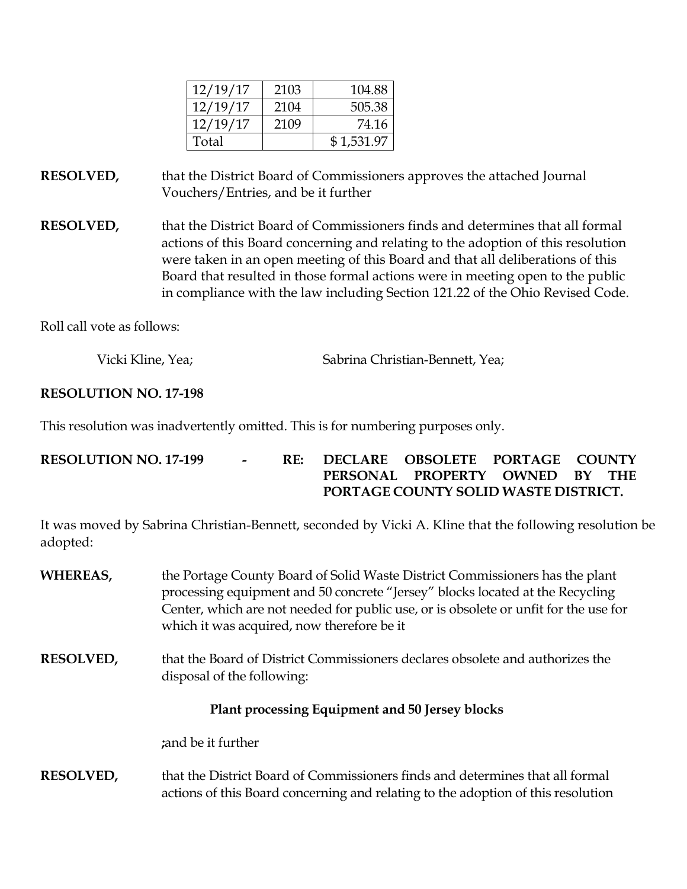| 12/19/17 | 2103 | 104.88     |
|----------|------|------------|
| 12/19/17 | 2104 | 505.38     |
| 12/19/17 | 2109 | 74.16      |
| Total    |      | \$1,531.97 |

**RESOLVED,** that the District Board of Commissioners approves the attached Journal Vouchers/Entries, and be it further

**RESOLVED,** that the District Board of Commissioners finds and determines that all formal actions of this Board concerning and relating to the adoption of this resolution were taken in an open meeting of this Board and that all deliberations of this Board that resulted in those formal actions were in meeting open to the public in compliance with the law including Section 121.22 of the Ohio Revised Code.

Roll call vote as follows:

Vicki Kline, Yea; Sabrina Christian-Bennett, Yea;

## **RESOLUTION NO. 17-198**

This resolution was inadvertently omitted. This is for numbering purposes only.

**RESOLUTION NO. 17-199 - RE: DECLARE OBSOLETE PORTAGE COUNTY PERSONAL PROPERTY OWNED BY THE PORTAGE COUNTY SOLID WASTE DISTRICT.**

It was moved by Sabrina Christian-Bennett, seconded by Vicki A. Kline that the following resolution be adopted:

- **WHEREAS,** the Portage County Board of Solid Waste District Commissioners has the plant processing equipment and 50 concrete "Jersey" blocks located at the Recycling Center, which are not needed for public use, or is obsolete or unfit for the use for which it was acquired, now therefore be it
- **RESOLVED,** that the Board of District Commissioners declares obsolete and authorizes the disposal of the following:

## **Plant processing Equipment and 50 Jersey blocks**

**;**and be it further

**RESOLVED,** that the District Board of Commissioners finds and determines that all formal actions of this Board concerning and relating to the adoption of this resolution